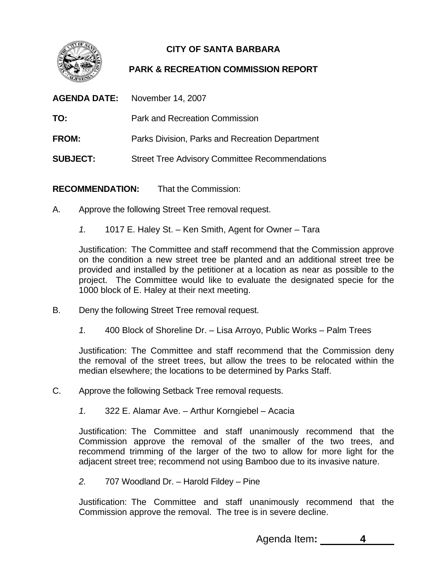

## **CITY OF SANTA BARBARA**

## **PARK & RECREATION COMMISSION REPORT**

|                 | <b>AGENDA DATE:</b> November 14, 2007                 |  |
|-----------------|-------------------------------------------------------|--|
| TO:             | <b>Park and Recreation Commission</b>                 |  |
| <b>FROM:</b>    | Parks Division, Parks and Recreation Department       |  |
| <b>SUBJECT:</b> | <b>Street Tree Advisory Committee Recommendations</b> |  |

**RECOMMENDATION:** That the Commission:

- A. Approve the following Street Tree removal request.
	- *1.* 1017 E. Haley St. Ken Smith, Agent for Owner Tara

Justification: The Committee and staff recommend that the Commission approve on the condition a new street tree be planted and an additional street tree be provided and installed by the petitioner at a location as near as possible to the project. The Committee would like to evaluate the designated specie for the 1000 block of E. Haley at their next meeting.

- B. Deny the following Street Tree removal request.
	- *1.* 400 Block of Shoreline Dr. Lisa Arroyo, Public Works Palm Trees

Justification: The Committee and staff recommend that the Commission deny the removal of the street trees, but allow the trees to be relocated within the median elsewhere; the locations to be determined by Parks Staff.

- C. Approve the following Setback Tree removal requests.
	- *1.* 322 E. Alamar Ave. Arthur Korngiebel Acacia

Justification: The Committee and staff unanimously recommend that the Commission approve the removal of the smaller of the two trees, and recommend trimming of the larger of the two to allow for more light for the adjacent street tree; recommend not using Bamboo due to its invasive nature.

*2.* 707 Woodland Dr. – Harold Fildey – Pine

Justification: The Committee and staff unanimously recommend that the Commission approve the removal. The tree is in severe decline.

Agenda Item**: 4**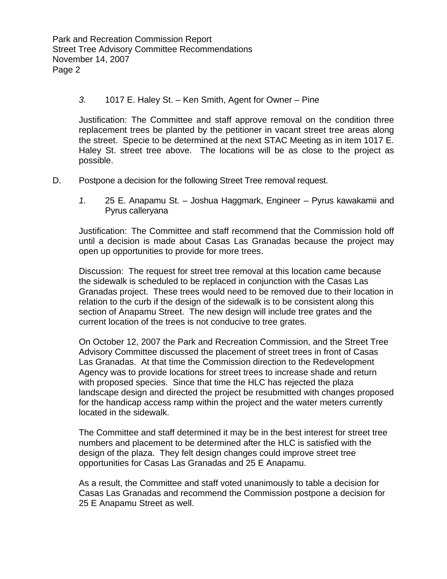## *.* 1017 E. Haley St. – Ken Smith, Agent for Owner – Pine *3*

Haley St. street tree above. The locations will be as close to the project as possible. Justification: The Committee and staff approve removal on the condition three replacement trees be planted by the petitioner in vacant street tree areas along the street. Specie to be determined at the next STAC Meeting as in item 1017 E.

- D. Postpone a decision for the following Street Tree removal request.
	- 1. 25 E. Anapamu St. Joshua Haggmark, Engineer Pyrus kawakamii and Pyrus calleryana

until a decision is made about Casas Las Granadas because the project may open up opportunities to provide for more trees. Justification: The Committee and staff recommend that the Commission hold off

Discussion: The request for street tree removal at this location came because Granadas project. These trees would need to be removed due to their location in section of Anapamu Street. The new design will include tree grates and the current location of the trees is not conducive to tree grates. the sidewalk is scheduled to be replaced in conjunction with the Casas Las relation to the curb if the design of the sidewalk is to be consistent along this

On October 12, 2007 the Park and Recreation Commission, and the Street Tree Agency was to provide locations for street trees to increase shade and return landscape design and directed the project be resubmitted with changes proposed for the handicap access ramp within the project and the water meters currently located in the sidewalk. Advisory Committee discussed the placement of street trees in front of Casas Las Granadas. At that time the Commission direction to the Redevelopment with proposed species. Since that time the HLC has rejected the plaza

The Committee and staff determined it may be in the best interest for street tree numbers and placement to be determined after the HLC is satisfied with the design of the plaza. They felt design changes could improve street tree opportunities for Casas Las Granadas and 25 E Anapamu.

Casas Las Granadas and recommend the Commission postpone a decision for 25 E Anapamu Street as well. As a result, the Committee and staff voted unanimously to table a decision for